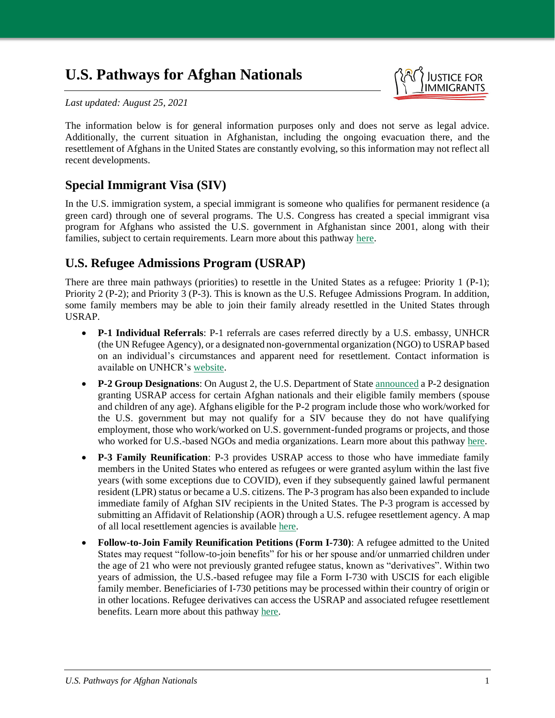# **U.S. Pathways for Afghan Nationals**



#### *Last updated: August 25, 2021*

The information below is for general information purposes only and does not serve as legal advice. Additionally, the current situation in Afghanistan, including the ongoing evacuation there, and the resettlement of Afghans in the United States are constantly evolving, so this information may not reflect all recent developments.

#### **Special Immigrant Visa (SIV)**

In the U.S. immigration system, a special immigrant is someone who qualifies for permanent residence (a green card) through one of several programs. The U.S. Congress has created a special immigrant visa program for Afghans who assisted the U.S. government in Afghanistan since 2001, along with their families, subject to certain requirements. Learn more about this pathway [here.](https://travel.state.gov/content/travel/en/us-visas/immigrate/special-immg-visa-afghans-employed-us-gov.html)

#### **U.S. Refugee Admissions Program (USRAP)**

There are three main pathways (priorities) to resettle in the United States as a refugee: Priority 1 (P-1); Priority 2 (P-2); and Priority 3 (P-3). This is known as the U.S. Refugee Admissions Program. In addition, some family members may be able to join their family already resettled in the United States through USRAP.

- **P-1 Individual Referrals**: P-1 referrals are cases referred directly by a U.S. embassy, UNHCR (the UN Refugee Agency), or a designated non-governmental organization (NGO) to USRAP based on an individual's circumstances and apparent need for resettlement. Contact information is available on UNHCR's [website.](https://www.unhcr.org/en-us/contact-us.html)
- **P-2 Group Designations**: On August 2, the U.S. Department of State [announced](https://www.state.gov/u-s-refugee-admissions-program-priority-2-designation-for-afghan-nationals/) a P-2 designation granting USRAP access for certain Afghan nationals and their eligible family members (spouse and children of any age). Afghans eligible for the P-2 program include those who work/worked for the U.S. government but may not qualify for a SIV because they do not have qualifying employment, those who work/worked on U.S. government-funded programs or projects, and those who worked for U.S.-based NGOs and media organizations. Learn more about this pathway [here.](https://www.wrapsnet.org/siv-iraqi-syrian-afghan-p2/)
- **P-3 Family Reunification**: P-3 provides USRAP access to those who have immediate family members in the United States who entered as refugees or were granted asylum within the last five years (with some exceptions due to COVID), even if they subsequently gained lawful permanent resident (LPR) status or became a U.S. citizens. The P-3 program has also been expanded to include immediate family of Afghan SIV recipients in the United States. The P-3 program is accessed by submitting an Affidavit of Relationship (AOR) through a U.S. refugee resettlement agency. A map of all local resettlement agencies is available [here.](https://rcusa.org/get-involved/volunteer/#map)
- **Follow-to-Join Family Reunification Petitions (Form I-730)**: A refugee admitted to the United States may request "follow-to-join benefits" for his or her spouse and/or unmarried children under the age of 21 who were not previously granted refugee status, known as "derivatives". Within two years of admission, the U.S.-based refugee may file a Form I-730 with USCIS for each eligible family member. Beneficiaries of I-730 petitions may be processed within their country of origin or in other locations. Refugee derivatives can access the USRAP and associated refugee resettlement benefits. Learn more about this pathway [here.](https://www.uscis.gov/i-730)